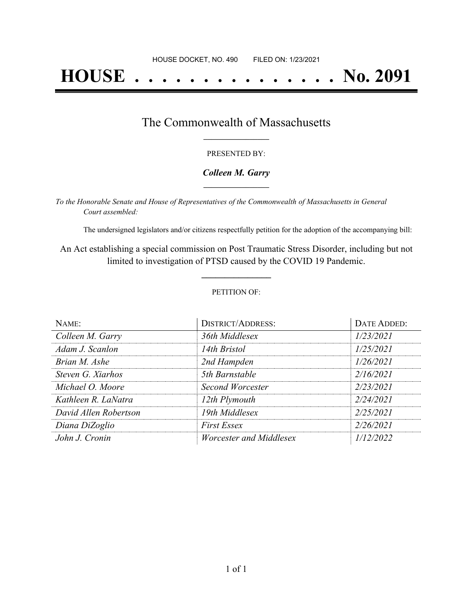# **HOUSE . . . . . . . . . . . . . . . No. 2091**

## The Commonwealth of Massachusetts **\_\_\_\_\_\_\_\_\_\_\_\_\_\_\_\_\_**

#### PRESENTED BY:

#### *Colleen M. Garry* **\_\_\_\_\_\_\_\_\_\_\_\_\_\_\_\_\_**

*To the Honorable Senate and House of Representatives of the Commonwealth of Massachusetts in General Court assembled:*

The undersigned legislators and/or citizens respectfully petition for the adoption of the accompanying bill:

An Act establishing a special commission on Post Traumatic Stress Disorder, including but not limited to investigation of PTSD caused by the COVID 19 Pandemic.

**\_\_\_\_\_\_\_\_\_\_\_\_\_\_\_**

#### PETITION OF:

| NAME:                 | <b>DISTRICT/ADDRESS:</b> | DATE ADDED: |
|-----------------------|--------------------------|-------------|
| Colleen M. Garry      | 36th Middlesex           | 1/23/2021   |
| Adam J. Scanlon       | 14th Bristol             | 1/25/2021   |
| Brian M. Ashe         | 2nd Hampden              | 1/26/2021   |
| Steven G. Xiarhos     | 5th Barnstable           | 2/16/2021   |
| Michael O. Moore      | Second Worcester         | 2/23/2021   |
| Kathleen R. LaNatra   | 12th Plymouth            | 2/24/2021   |
| David Allen Robertson | 19th Middlesex           | 2/25/2021   |
| Diana DiZoglio        | <b>First Essex</b>       | 2/26/2021   |
| John J. Cronin        | Worcester and Middlesex  | 1/12/2022   |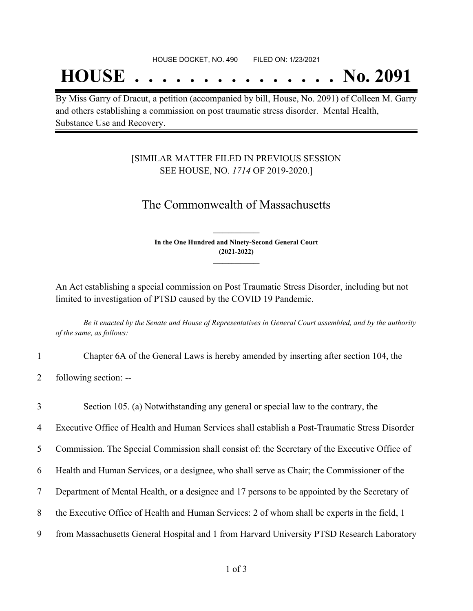## **HOUSE . . . . . . . . . . . . . . . No. 2091**

By Miss Garry of Dracut, a petition (accompanied by bill, House, No. 2091) of Colleen M. Garry and others establishing a commission on post traumatic stress disorder. Mental Health, Substance Use and Recovery.

### [SIMILAR MATTER FILED IN PREVIOUS SESSION SEE HOUSE, NO. *1714* OF 2019-2020.]

## The Commonwealth of Massachusetts

**In the One Hundred and Ninety-Second General Court (2021-2022) \_\_\_\_\_\_\_\_\_\_\_\_\_\_\_**

**\_\_\_\_\_\_\_\_\_\_\_\_\_\_\_**

An Act establishing a special commission on Post Traumatic Stress Disorder, including but not limited to investigation of PTSD caused by the COVID 19 Pandemic.

Be it enacted by the Senate and House of Representatives in General Court assembled, and by the authority *of the same, as follows:*

- 1 Chapter 6A of the General Laws is hereby amended by inserting after section 104, the
- 2 following section: --

3 Section 105. (a) Notwithstanding any general or special law to the contrary, the

4 Executive Office of Health and Human Services shall establish a Post-Traumatic Stress Disorder

5 Commission. The Special Commission shall consist of: the Secretary of the Executive Office of

6 Health and Human Services, or a designee, who shall serve as Chair; the Commissioner of the

- 7 Department of Mental Health, or a designee and 17 persons to be appointed by the Secretary of
- 8 the Executive Office of Health and Human Services: 2 of whom shall be experts in the field, 1
- 9 from Massachusetts General Hospital and 1 from Harvard University PTSD Research Laboratory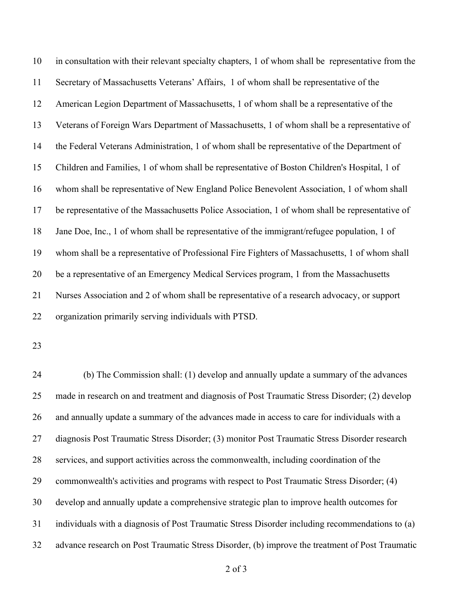in consultation with their relevant specialty chapters, 1 of whom shall be representative from the Secretary of Massachusetts Veterans' Affairs, 1 of whom shall be representative of the American Legion Department of Massachusetts, 1 of whom shall be a representative of the Veterans of Foreign Wars Department of Massachusetts, 1 of whom shall be a representative of the Federal Veterans Administration, 1 of whom shall be representative of the Department of Children and Families, 1 of whom shall be representative of Boston Children's Hospital, 1 of whom shall be representative of New England Police Benevolent Association, 1 of whom shall be representative of the Massachusetts Police Association, 1 of whom shall be representative of Jane Doe, Inc., 1 of whom shall be representative of the immigrant/refugee population, 1 of whom shall be a representative of Professional Fire Fighters of Massachusetts, 1 of whom shall be a representative of an Emergency Medical Services program, 1 from the Massachusetts Nurses Association and 2 of whom shall be representative of a research advocacy, or support organization primarily serving individuals with PTSD.

 (b) The Commission shall: (1) develop and annually update a summary of the advances made in research on and treatment and diagnosis of Post Traumatic Stress Disorder; (2) develop and annually update a summary of the advances made in access to care for individuals with a diagnosis Post Traumatic Stress Disorder; (3) monitor Post Traumatic Stress Disorder research services, and support activities across the commonwealth, including coordination of the commonwealth's activities and programs with respect to Post Traumatic Stress Disorder; (4) develop and annually update a comprehensive strategic plan to improve health outcomes for individuals with a diagnosis of Post Traumatic Stress Disorder including recommendations to (a) advance research on Post Traumatic Stress Disorder, (b) improve the treatment of Post Traumatic

of 3